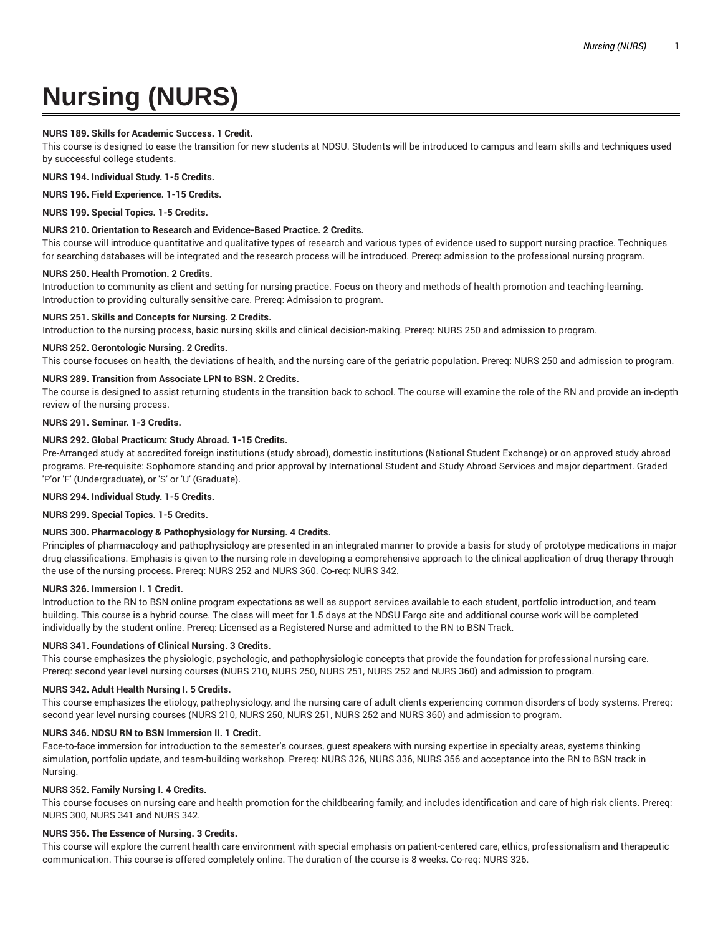# **Nursing (NURS)**

## **NURS 189. Skills for Academic Success. 1 Credit.**

This course is designed to ease the transition for new students at NDSU. Students will be introduced to campus and learn skills and techniques used by successful college students.

**NURS 194. Individual Study. 1-5 Credits.**

**NURS 196. Field Experience. 1-15 Credits.**

**NURS 199. Special Topics. 1-5 Credits.**

## **NURS 210. Orientation to Research and Evidence-Based Practice. 2 Credits.**

This course will introduce quantitative and qualitative types of research and various types of evidence used to support nursing practice. Techniques for searching databases will be integrated and the research process will be introduced. Prereq: admission to the professional nursing program.

#### **NURS 250. Health Promotion. 2 Credits.**

Introduction to community as client and setting for nursing practice. Focus on theory and methods of health promotion and teaching-learning. Introduction to providing culturally sensitive care. Prereq: Admission to program.

### **NURS 251. Skills and Concepts for Nursing. 2 Credits.**

Introduction to the nursing process, basic nursing skills and clinical decision-making. Prereq: NURS 250 and admission to program.

### **NURS 252. Gerontologic Nursing. 2 Credits.**

This course focuses on health, the deviations of health, and the nursing care of the geriatric population. Prereq: NURS 250 and admission to program.

# **NURS 289. Transition from Associate LPN to BSN. 2 Credits.**

The course is designed to assist returning students in the transition back to school. The course will examine the role of the RN and provide an in-depth review of the nursing process.

#### **NURS 291. Seminar. 1-3 Credits.**

## **NURS 292. Global Practicum: Study Abroad. 1-15 Credits.**

Pre-Arranged study at accredited foreign institutions (study abroad), domestic institutions (National Student Exchange) or on approved study abroad programs. Pre-requisite: Sophomore standing and prior approval by International Student and Study Abroad Services and major department. Graded 'P'or 'F' (Undergraduate), or 'S' or 'U' (Graduate).

#### **NURS 294. Individual Study. 1-5 Credits.**

**NURS 299. Special Topics. 1-5 Credits.**

## **NURS 300. Pharmacology & Pathophysiology for Nursing. 4 Credits.**

Principles of pharmacology and pathophysiology are presented in an integrated manner to provide a basis for study of prototype medications in major drug classifications. Emphasis is given to the nursing role in developing a comprehensive approach to the clinical application of drug therapy through the use of the nursing process. Prereq: NURS 252 and NURS 360. Co-req: NURS 342.

#### **NURS 326. Immersion I. 1 Credit.**

Introduction to the RN to BSN online program expectations as well as support services available to each student, portfolio introduction, and team building. This course is a hybrid course. The class will meet for 1.5 days at the NDSU Fargo site and additional course work will be completed individually by the student online. Prereq: Licensed as a Registered Nurse and admitted to the RN to BSN Track.

#### **NURS 341. Foundations of Clinical Nursing. 3 Credits.**

This course emphasizes the physiologic, psychologic, and pathophysiologic concepts that provide the foundation for professional nursing care. Prereq: second year level nursing courses (NURS 210, NURS 250, NURS 251, NURS 252 and NURS 360) and admission to program.

#### **NURS 342. Adult Health Nursing I. 5 Credits.**

This course emphasizes the etiology, pathephysiology, and the nursing care of adult clients experiencing common disorders of body systems. Prereq: second year level nursing courses (NURS 210, NURS 250, NURS 251, NURS 252 and NURS 360) and admission to program.

## **NURS 346. NDSU RN to BSN Immersion II. 1 Credit.**

Face-to-face immersion for introduction to the semester's courses, guest speakers with nursing expertise in specialty areas, systems thinking simulation, portfolio update, and team-building workshop. Prereq: NURS 326, NURS 336, NURS 356 and acceptance into the RN to BSN track in Nursing.

#### **NURS 352. Family Nursing I. 4 Credits.**

This course focuses on nursing care and health promotion for the childbearing family, and includes identification and care of high-risk clients. Prereq: NURS 300, NURS 341 and NURS 342.

#### **NURS 356. The Essence of Nursing. 3 Credits.**

This course will explore the current health care environment with special emphasis on patient-centered care, ethics, professionalism and therapeutic communication. This course is offered completely online. The duration of the course is 8 weeks. Co-req: NURS 326.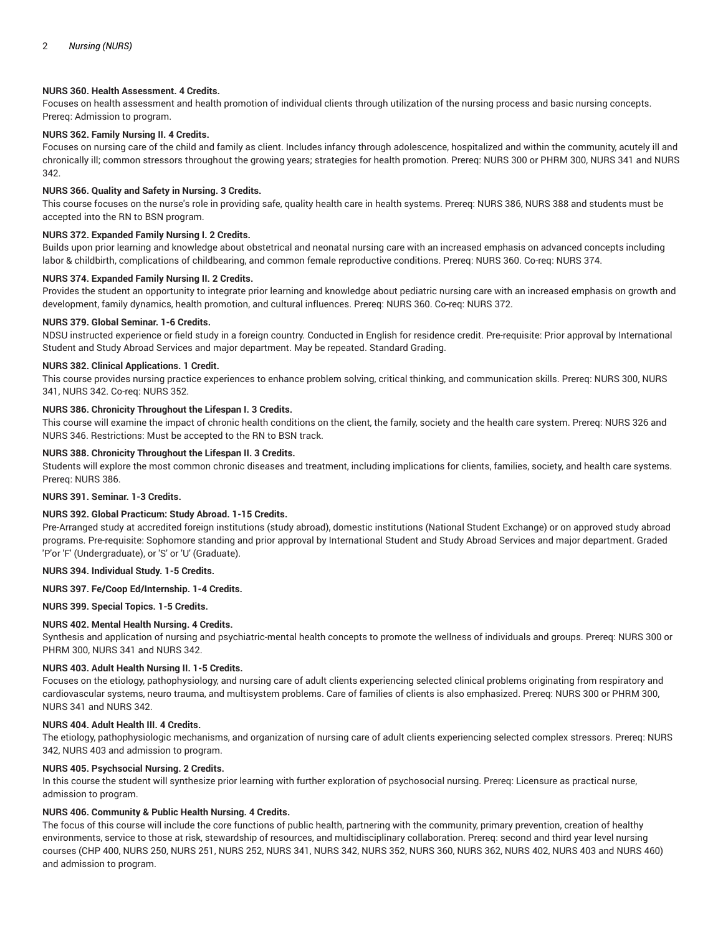# **NURS 360. Health Assessment. 4 Credits.**

Focuses on health assessment and health promotion of individual clients through utilization of the nursing process and basic nursing concepts. Prereq: Admission to program.

## **NURS 362. Family Nursing II. 4 Credits.**

Focuses on nursing care of the child and family as client. Includes infancy through adolescence, hospitalized and within the community, acutely ill and chronically ill; common stressors throughout the growing years; strategies for health promotion. Prereq: NURS 300 or PHRM 300, NURS 341 and NURS 342.

## **NURS 366. Quality and Safety in Nursing. 3 Credits.**

This course focuses on the nurse's role in providing safe, quality health care in health systems. Prereq: NURS 386, NURS 388 and students must be accepted into the RN to BSN program.

## **NURS 372. Expanded Family Nursing I. 2 Credits.**

Builds upon prior learning and knowledge about obstetrical and neonatal nursing care with an increased emphasis on advanced concepts including labor & childbirth, complications of childbearing, and common female reproductive conditions. Prereq: NURS 360. Co-req: NURS 374.

## **NURS 374. Expanded Family Nursing II. 2 Credits.**

Provides the student an opportunity to integrate prior learning and knowledge about pediatric nursing care with an increased emphasis on growth and development, family dynamics, health promotion, and cultural influences. Prereq: NURS 360. Co-req: NURS 372.

## **NURS 379. Global Seminar. 1-6 Credits.**

NDSU instructed experience or field study in a foreign country. Conducted in English for residence credit. Pre-requisite: Prior approval by International Student and Study Abroad Services and major department. May be repeated. Standard Grading.

## **NURS 382. Clinical Applications. 1 Credit.**

This course provides nursing practice experiences to enhance problem solving, critical thinking, and communication skills. Prereq: NURS 300, NURS 341, NURS 342. Co-req: NURS 352.

# **NURS 386. Chronicity Throughout the Lifespan I. 3 Credits.**

This course will examine the impact of chronic health conditions on the client, the family, society and the health care system. Prereq: NURS 326 and NURS 346. Restrictions: Must be accepted to the RN to BSN track.

# **NURS 388. Chronicity Throughout the Lifespan II. 3 Credits.**

Students will explore the most common chronic diseases and treatment, including implications for clients, families, society, and health care systems. Prereq: NURS 386.

## **NURS 391. Seminar. 1-3 Credits.**

## **NURS 392. Global Practicum: Study Abroad. 1-15 Credits.**

Pre-Arranged study at accredited foreign institutions (study abroad), domestic institutions (National Student Exchange) or on approved study abroad programs. Pre-requisite: Sophomore standing and prior approval by International Student and Study Abroad Services and major department. Graded 'P'or 'F' (Undergraduate), or 'S' or 'U' (Graduate).

## **NURS 394. Individual Study. 1-5 Credits.**

## **NURS 397. Fe/Coop Ed/Internship. 1-4 Credits.**

## **NURS 399. Special Topics. 1-5 Credits.**

## **NURS 402. Mental Health Nursing. 4 Credits.**

Synthesis and application of nursing and psychiatric-mental health concepts to promote the wellness of individuals and groups. Prereq: NURS 300 or PHRM 300, NURS 341 and NURS 342.

## **NURS 403. Adult Health Nursing II. 1-5 Credits.**

Focuses on the etiology, pathophysiology, and nursing care of adult clients experiencing selected clinical problems originating from respiratory and cardiovascular systems, neuro trauma, and multisystem problems. Care of families of clients is also emphasized. Prereq: NURS 300 or PHRM 300, NURS 341 and NURS 342.

## **NURS 404. Adult Health III. 4 Credits.**

The etiology, pathophysiologic mechanisms, and organization of nursing care of adult clients experiencing selected complex stressors. Prereq: NURS 342, NURS 403 and admission to program.

## **NURS 405. Psychsocial Nursing. 2 Credits.**

In this course the student will synthesize prior learning with further exploration of psychosocial nursing. Prereq: Licensure as practical nurse, admission to program.

## **NURS 406. Community & Public Health Nursing. 4 Credits.**

The focus of this course will include the core functions of public health, partnering with the community, primary prevention, creation of healthy environments, service to those at risk, stewardship of resources, and multidisciplinary collaboration. Prereq: second and third year level nursing courses (CHP 400, NURS 250, NURS 251, NURS 252, NURS 341, NURS 342, NURS 352, NURS 360, NURS 362, NURS 402, NURS 403 and NURS 460) and admission to program.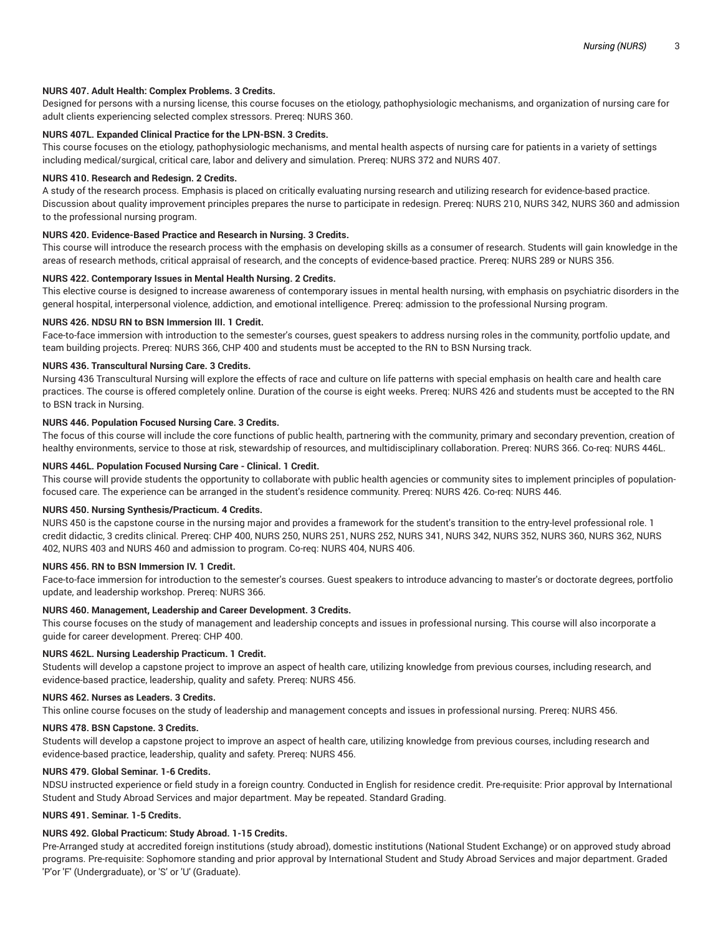## **NURS 407. Adult Health: Complex Problems. 3 Credits.**

Designed for persons with a nursing license, this course focuses on the etiology, pathophysiologic mechanisms, and organization of nursing care for adult clients experiencing selected complex stressors. Prereq: NURS 360.

## **NURS 407L. Expanded Clinical Practice for the LPN-BSN. 3 Credits.**

This course focuses on the etiology, pathophysiologic mechanisms, and mental health aspects of nursing care for patients in a variety of settings including medical/surgical, critical care, labor and delivery and simulation. Prereq: NURS 372 and NURS 407.

#### **NURS 410. Research and Redesign. 2 Credits.**

A study of the research process. Emphasis is placed on critically evaluating nursing research and utilizing research for evidence-based practice. Discussion about quality improvement principles prepares the nurse to participate in redesign. Prereq: NURS 210, NURS 342, NURS 360 and admission to the professional nursing program.

## **NURS 420. Evidence-Based Practice and Research in Nursing. 3 Credits.**

This course will introduce the research process with the emphasis on developing skills as a consumer of research. Students will gain knowledge in the areas of research methods, critical appraisal of research, and the concepts of evidence-based practice. Prereq: NURS 289 or NURS 356.

#### **NURS 422. Contemporary Issues in Mental Health Nursing. 2 Credits.**

This elective course is designed to increase awareness of contemporary issues in mental health nursing, with emphasis on psychiatric disorders in the general hospital, interpersonal violence, addiction, and emotional intelligence. Prereq: admission to the professional Nursing program.

#### **NURS 426. NDSU RN to BSN Immersion III. 1 Credit.**

Face-to-face immersion with introduction to the semester's courses, guest speakers to address nursing roles in the community, portfolio update, and team building projects. Prereq: NURS 366, CHP 400 and students must be accepted to the RN to BSN Nursing track.

# **NURS 436. Transcultural Nursing Care. 3 Credits.**

Nursing 436 Transcultural Nursing will explore the effects of race and culture on life patterns with special emphasis on health care and health care practices. The course is offered completely online. Duration of the course is eight weeks. Prereq: NURS 426 and students must be accepted to the RN to BSN track in Nursing.

#### **NURS 446. Population Focused Nursing Care. 3 Credits.**

The focus of this course will include the core functions of public health, partnering with the community, primary and secondary prevention, creation of healthy environments, service to those at risk, stewardship of resources, and multidisciplinary collaboration. Prereq: NURS 366. Co-req: NURS 446L.

# **NURS 446L. Population Focused Nursing Care - Clinical. 1 Credit.**

This course will provide students the opportunity to collaborate with public health agencies or community sites to implement principles of populationfocused care. The experience can be arranged in the student's residence community. Prereq: NURS 426. Co-req: NURS 446.

#### **NURS 450. Nursing Synthesis/Practicum. 4 Credits.**

NURS 450 is the capstone course in the nursing major and provides a framework for the student's transition to the entry-level professional role. 1 credit didactic, 3 credits clinical. Prereq: CHP 400, NURS 250, NURS 251, NURS 252, NURS 341, NURS 342, NURS 352, NURS 360, NURS 362, NURS 402, NURS 403 and NURS 460 and admission to program. Co-req: NURS 404, NURS 406.

#### **NURS 456. RN to BSN Immersion IV. 1 Credit.**

Face-to-face immersion for introduction to the semester's courses. Guest speakers to introduce advancing to master's or doctorate degrees, portfolio update, and leadership workshop. Prereq: NURS 366.

## **NURS 460. Management, Leadership and Career Development. 3 Credits.**

This course focuses on the study of management and leadership concepts and issues in professional nursing. This course will also incorporate a guide for career development. Prereq: CHP 400.

#### **NURS 462L. Nursing Leadership Practicum. 1 Credit.**

Students will develop a capstone project to improve an aspect of health care, utilizing knowledge from previous courses, including research, and evidence-based practice, leadership, quality and safety. Prereq: NURS 456.

## **NURS 462. Nurses as Leaders. 3 Credits.**

This online course focuses on the study of leadership and management concepts and issues in professional nursing. Prereq: NURS 456.

#### **NURS 478. BSN Capstone. 3 Credits.**

Students will develop a capstone project to improve an aspect of health care, utilizing knowledge from previous courses, including research and evidence-based practice, leadership, quality and safety. Prereq: NURS 456.

## **NURS 479. Global Seminar. 1-6 Credits.**

NDSU instructed experience or field study in a foreign country. Conducted in English for residence credit. Pre-requisite: Prior approval by International Student and Study Abroad Services and major department. May be repeated. Standard Grading.

## **NURS 491. Seminar. 1-5 Credits.**

#### **NURS 492. Global Practicum: Study Abroad. 1-15 Credits.**

Pre-Arranged study at accredited foreign institutions (study abroad), domestic institutions (National Student Exchange) or on approved study abroad programs. Pre-requisite: Sophomore standing and prior approval by International Student and Study Abroad Services and major department. Graded 'P'or 'F' (Undergraduate), or 'S' or 'U' (Graduate).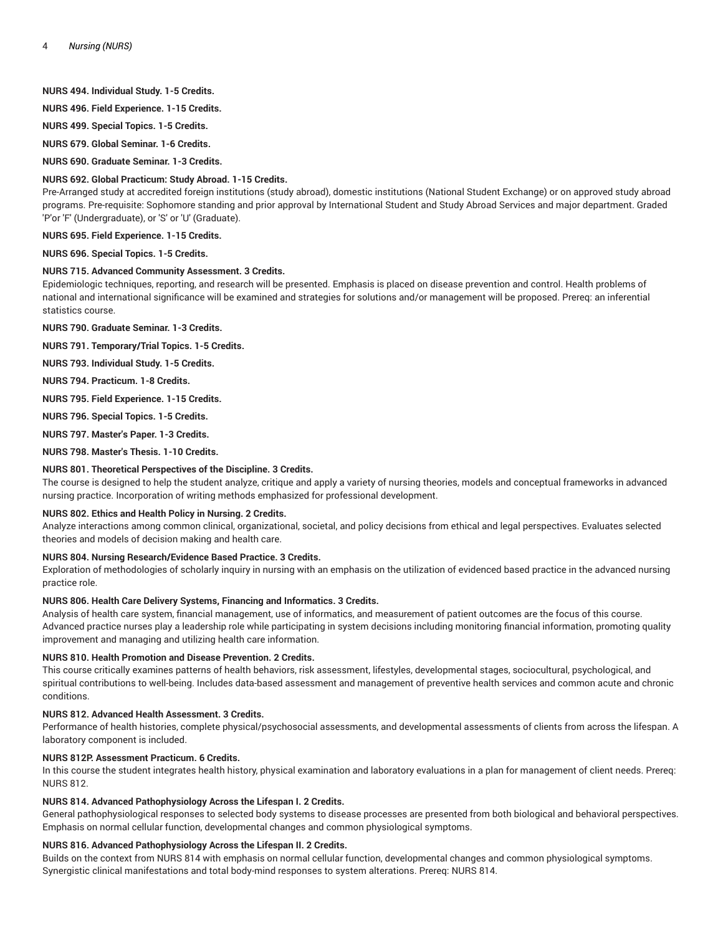# **NURS 494. Individual Study. 1-5 Credits.**

**NURS 496. Field Experience. 1-15 Credits.**

**NURS 499. Special Topics. 1-5 Credits.**

**NURS 679. Global Seminar. 1-6 Credits.**

**NURS 690. Graduate Seminar. 1-3 Credits.**

## **NURS 692. Global Practicum: Study Abroad. 1-15 Credits.**

Pre-Arranged study at accredited foreign institutions (study abroad), domestic institutions (National Student Exchange) or on approved study abroad programs. Pre-requisite: Sophomore standing and prior approval by International Student and Study Abroad Services and major department. Graded 'P'or 'F' (Undergraduate), or 'S' or 'U' (Graduate).

**NURS 695. Field Experience. 1-15 Credits.**

**NURS 696. Special Topics. 1-5 Credits.**

# **NURS 715. Advanced Community Assessment. 3 Credits.**

Epidemiologic techniques, reporting, and research will be presented. Emphasis is placed on disease prevention and control. Health problems of national and international significance will be examined and strategies for solutions and/or management will be proposed. Prereq: an inferential statistics course.

**NURS 790. Graduate Seminar. 1-3 Credits.**

**NURS 791. Temporary/Trial Topics. 1-5 Credits.**

**NURS 793. Individual Study. 1-5 Credits.**

**NURS 794. Practicum. 1-8 Credits.**

**NURS 795. Field Experience. 1-15 Credits.**

**NURS 796. Special Topics. 1-5 Credits.**

**NURS 797. Master's Paper. 1-3 Credits.**

**NURS 798. Master's Thesis. 1-10 Credits.**

## **NURS 801. Theoretical Perspectives of the Discipline. 3 Credits.**

The course is designed to help the student analyze, critique and apply a variety of nursing theories, models and conceptual frameworks in advanced nursing practice. Incorporation of writing methods emphasized for professional development.

#### **NURS 802. Ethics and Health Policy in Nursing. 2 Credits.**

Analyze interactions among common clinical, organizational, societal, and policy decisions from ethical and legal perspectives. Evaluates selected theories and models of decision making and health care.

#### **NURS 804. Nursing Research/Evidence Based Practice. 3 Credits.**

Exploration of methodologies of scholarly inquiry in nursing with an emphasis on the utilization of evidenced based practice in the advanced nursing practice role.

#### **NURS 806. Health Care Delivery Systems, Financing and Informatics. 3 Credits.**

Analysis of health care system, financial management, use of informatics, and measurement of patient outcomes are the focus of this course. Advanced practice nurses play a leadership role while participating in system decisions including monitoring financial information, promoting quality improvement and managing and utilizing health care information.

## **NURS 810. Health Promotion and Disease Prevention. 2 Credits.**

This course critically examines patterns of health behaviors, risk assessment, lifestyles, developmental stages, sociocultural, psychological, and spiritual contributions to well-being. Includes data-based assessment and management of preventive health services and common acute and chronic conditions.

## **NURS 812. Advanced Health Assessment. 3 Credits.**

Performance of health histories, complete physical/psychosocial assessments, and developmental assessments of clients from across the lifespan. A laboratory component is included.

## **NURS 812P. Assessment Practicum. 6 Credits.**

In this course the student integrates health history, physical examination and laboratory evaluations in a plan for management of client needs. Prereq: NURS 812.

## **NURS 814. Advanced Pathophysiology Across the Lifespan I. 2 Credits.**

General pathophysiological responses to selected body systems to disease processes are presented from both biological and behavioral perspectives. Emphasis on normal cellular function, developmental changes and common physiological symptoms.

## **NURS 816. Advanced Pathophysiology Across the Lifespan II. 2 Credits.**

Builds on the context from NURS 814 with emphasis on normal cellular function, developmental changes and common physiological symptoms. Synergistic clinical manifestations and total body-mind responses to system alterations. Prereq: NURS 814.